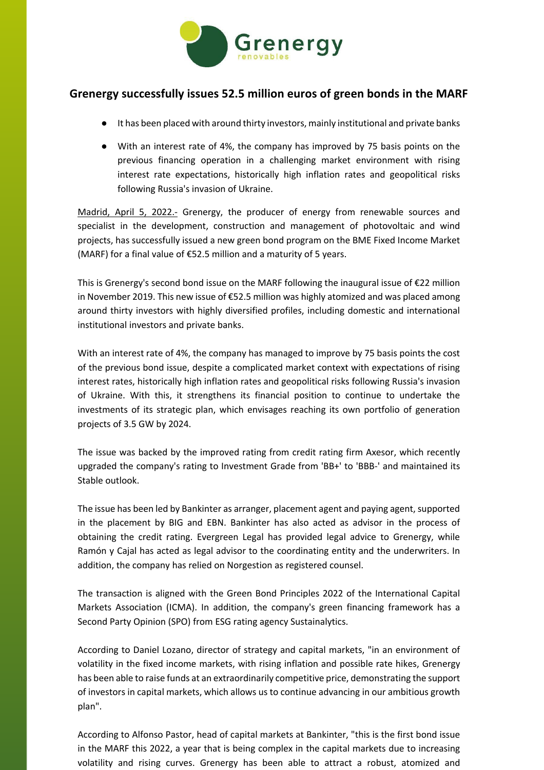

## **Grenergy successfully issues 52.5 million euros of green bonds in the MARF**

- It has been placed with around thirty investors, mainly institutional and private banks
- With an interest rate of 4%, the company has improved by 75 basis points on the previous financing operation in a challenging market environment with rising interest rate expectations, historically high inflation rates and geopolitical risks following Russia's invasion of Ukraine.

Madrid, April 5, 2022.- Grenergy, the producer of energy from renewable sources and specialist in the development, construction and management of photovoltaic and wind projects, has successfully issued a new green bond program on the BME Fixed Income Market (MARF) for a final value of €52.5 million and a maturity of 5 years.

This is Grenergy's second bond issue on the MARF following the inaugural issue of €22 million in November 2019. This new issue of €52.5 million was highly atomized and was placed among around thirty investors with highly diversified profiles, including domestic and international institutional investors and private banks.

With an interest rate of 4%, the company has managed to improve by 75 basis points the cost of the previous bond issue, despite a complicated market context with expectations of rising interest rates, historically high inflation rates and geopolitical risks following Russia's invasion of Ukraine. With this, it strengthens its financial position to continue to undertake the investments of its strategic plan, which envisages reaching its own portfolio of generation projects of 3.5 GW by 2024.

The issue was backed by the improved rating from credit rating firm Axesor, which recently upgraded the company's rating to Investment Grade from 'BB+' to 'BBB-' and maintained its Stable outlook.

The issue has been led by Bankinter as arranger, placement agent and paying agent, supported in the placement by BIG and EBN. Bankinter has also acted as advisor in the process of obtaining the credit rating. Evergreen Legal has provided legal advice to Grenergy, while Ramón y Cajal has acted as legal advisor to the coordinating entity and the underwriters. In addition, the company has relied on Norgestion as registered counsel.

The transaction is aligned with the Green Bond Principles 2022 of the International Capital Markets Association (ICMA). In addition, the company's green financing framework has a Second Party Opinion (SPO) from ESG rating agency Sustainalytics.

According to Daniel Lozano, director of strategy and capital markets, "in an environment of volatility in the fixed income markets, with rising inflation and possible rate hikes, Grenergy has been able to raise funds at an extraordinarily competitive price, demonstrating the support of investors in capital markets, which allows us to continue advancing in our ambitious growth plan".

According to Alfonso Pastor, head of capital markets at Bankinter, "this is the first bond issue in the MARF this 2022, a year that is being complex in the capital markets due to increasing volatility and rising curves. Grenergy has been able to attract a robust, atomized and